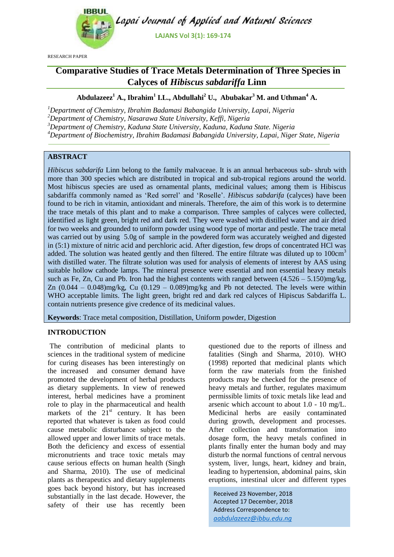

Lapai Journal of Applied and Natural Sciences

**LAJANS Vol 3(1): 169-174**

RESEARCH PAPER

# **Comparative Studies of Trace Metals Determination of Three Species in Calyces of** *Hibiscus sabdariffa* **Linn**

# **Abdulazeez<sup>1</sup> A., Ibrahim<sup>1</sup> I.L., Abdullahi<sup>2</sup> U., Abubakar<sup>3</sup> M. and Uthman<sup>4</sup> A.**

*Department of Chemistry, Ibrahim Badamasi Babangida University, Lapai, Nigeria Department of Chemistry, Nasarawa State University, Keffi, Nigeria Department of Chemistry, Kaduna State University, Kaduna, Kaduna State. Nigeria Department of Biochemistry, Ibrahim Badamasi Babangida University, Lapai, Niger State, Nigeria*

# **ABSTRACT**

*Hibiscus sabdarifa* Linn belong to the family malvaceae. It is an annual herbaceous sub- shrub with more than 300 species which are distributed in tropical and sub-tropical regions around the world. Most hibiscus species are used as ornamental plants, medicinal values; among them is Hibiscus sabdariffa commonly named as 'Red sorrel' and 'Roselle'. *Hibiscus sabdarifa* (calyces) have been found to be rich in vitamin, antioxidant and minerals. Therefore, the aim of this work is to determine the trace metals of this plant and to make a comparison. Three samples of calyces were collected, identified as light green, bright red and dark red. They were washed with distilled water and air dried for two weeks and grounded to uniform powder using wood type of mortar and pestle. The trace metal was carried out by using 5.0g of sample in the powdered form was accurately weighed and digested in (5:1) mixture of nitric acid and perchloric acid. After digestion, few drops of concentrated HCl was added. The solution was heated gently and then filtered. The entire filtrate was diluted up to 100cm<sup>3</sup> with distilled water. The filtrate solution was used for analysis of elements of interest by AAS using suitable hollow cathode lamps. The mineral presence were essential and non essential heavy metals such as Fe, Zn, Cu and Pb. Iron had the highest contents with ranged between  $(4.526 - 5.150)$ mg/kg, Zn  $(0.044 - 0.048)$ mg/kg, Cu  $(0.129 - 0.089)$ mg/kg and Pb not detected. The levels were within WHO acceptable limits. The light green, bright red and dark red calyces of Hipiscus Sabdariffa L. contain nutrients presence give credence of its medicinal values.

**Keywords**: Trace metal composition, Distillation, Uniform powder, Digestion

#### **INTRODUCTION**

The contribution of medicinal plants to sciences in the traditional system of medicine for curing diseases has been interestingly on the increased and consumer demand have promoted the development of herbal products as dietary supplements. In view of renewed interest, herbal medicines have a prominent role to play in the pharmaceutical and health markets of the  $21<sup>st</sup>$  century. It has been reported that whatever is taken as food could cause metabolic disturbance subject to the allowed upper and lower limits of trace metals. Both the deficiency and excess of essential micronutrients and trace toxic metals may cause serious effects on human health (Singh and Sharma, 2010). The use of medicinal plants as therapeutics and dietary supplements goes back beyond history, but has increased substantially in the last decade. However, the safety of their use has recently been

questioned due to the reports of illness and fatalities (Singh and Sharma, 2010). WHO (1998) reported that medicinal plants which form the raw materials from the finished products may be checked for the presence of heavy metals and further, regulates maximum permissible limits of toxic metals like lead and arsenic which account to about 1.0 - 10 mg/L. Medicinal herbs are easily contaminated during growth, development and processes. After collection and transformation into dosage form, the heavy metals confined in plants finally enter the human body and may disturb the normal functions of central nervous system, liver, lungs, heart, kidney and brain, leading to hypertension, abdominal pains, skin eruptions, intestinal ulcer and different types

Received 23 November, 2018 Accepted 17 December, 2018 Address Correspondence to: *aabdulazeez@ibbu.edu.ng*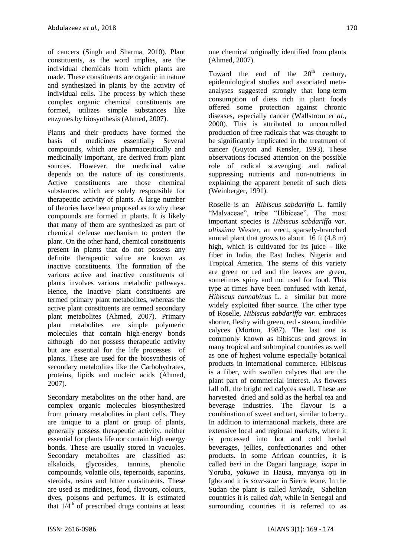of cancers (Singh and Sharma, 2010). Plant constituents, as the word implies, are the individual chemicals from which plants are made. These constituents are organic in nature and synthesized in plants by the activity of individual cells. The process by which these complex organic chemical constituents are formed, utilizes simple substances like enzymes by biosynthesis (Ahmed, 2007).

Plants and their products have formed the basis of medicines essentially Several compounds, which are pharmaceutically and medicinally important, are derived from plant sources. However, the medicinal value depends on the nature of its constituents. Active constituents are those chemical substances which are solely responsible for therapeutic activity of plants. A large number of theories have been proposed as to why these compounds are formed in plants. It is likely that many of them are synthesized as part of chemical defense mechanism to protect the plant. On the other hand, chemical constituents present in plants that do not possess any definite therapeutic value are known as inactive constituents. The formation of the various active and inactive constituents of plants involves various metabolic pathways. Hence, the inactive plant constituents are termed primary plant metabolites, whereas the active plant constituents are termed secondary plant metabolites (Ahmed, 2007). Primary plant metabolites are simple polymeric molecules that contain high-energy bonds although do not possess therapeutic activity but are essential for the life processes of plants. These are used for the biosynthesis of secondary metabolites like the Carbohydrates, proteins, lipids and nucleic acids (Ahmed, 2007).

Secondary metabolites on the other hand, are complex organic molecules biosynthesized from primary metabolites in plant cells. They are unique to a plant or group of plants, generally possess therapeutic activity, neither essential for plants life nor contain high energy bonds. These are usually stored in vacuoles. Secondary metabolites are classified as: alkaloids, glycosides, tannins, phenolic compounds, volatile oils, tepernoids, saponins, steroids, resins and bitter constituents. These are used as medicines, food, flavours, colours, dyes, poisons and perfumes. It is estimated that  $1/\overline{4}^{th}$  of prescribed drugs contains at least one chemical originally identified from plants (Ahmed, 2007).

Toward the end of the  $20<sup>th</sup>$  century, epidemiological studies and associated metaanalyses suggested strongly that long-term consumption of diets rich in plant foods offered some protection against chronic diseases, especially cancer (Wallstrom *et al.*, 2000). This is attributed to uncontrolled production of free radicals that was thought to be significantly implicated in the treatment of cancer (Guyton and Kensler, 1993). These observations focused attention on the possible role of radical scavenging and radical suppressing nutrients and non-nutrients in explaining the apparent benefit of such diets (Weinberger, 1991).

Roselle is an *Hibiscus sabdariffa* L. family "Malvaceae", tribe "Hibiceae". The most important species is *Hibiscus sabdariffa var*. *altissima* Wester, an erect, sparsely-branched annual plant that grows to about 16 ft (4.8 m) high, which is cultivated for its juice - like fiber in India, the East Indies, Nigeria and Tropical America. The stems of this variety are green or red and the leaves are green, sometimes spiny and not used for food. This type at times have been confused with kenaf, *Hibiscus cannabinus* L. a similar but more widely exploited fiber source. The other type of Roselle, *Hibiscus sabdariffa var.* embraces shorter, fleshy with green, red - steam, inedible calyces (Morton, 1987). The last one is commonly known as hibiscus and grows in many tropical and subtropical countries as well as one of highest volume especially botanical products in international commerce. Hibiscus is a fiber, with swollen calyces that are the plant part of commercial interest. As flowers fall off, the bright red calyces swell. These are harvested dried and sold as the herbal tea and beverage industries. The flavour is a combination of sweet and tart, similar to berry. In addition to international markets, there are extensive local and regional markets, where it is processed into hot and cold herbal beverages, jellies, confectionaries and other products. In some African countries, it is called *beri* in the Dagari language, *isapa* in Yoruba, *yakuwa* in Hausa, mnyanya oji in Igbo and it is *sour-sour* in Sierra leone. In the Sudan the plant is called *karkade,* Sahelian countries it is called *dah*, while in Senegal and surrounding countries it is referred to as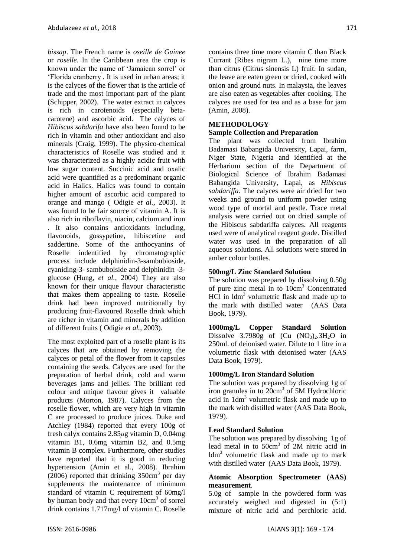*bissap*. The French name is *oseille de Guinee* or *roselle.* In the Caribbean area the crop is known under the name of ‗Jamaican sorrel' or 'Florida cranberry<sup>'</sup>. It is used in urban areas; it is the calyces of the flower that is the article of trade and the most important part of the plant (Schipper, 2002). The water extract in calyces is rich in carotenoids (especially betacarotene) and ascorbic acid. The calyces of *Hibiscus sabdarifa* have also been found to be rich in vitamin and other antioxidant and also minerals (Craig, 1999). The physico-chemical characteristics of Roselle was studied and it was characterized as a highly acidic fruit with low sugar content. Succinic acid and oxalic acid were quantified as a predominant organic acid in Halics. Halics was found to contain higher amount of ascorbic acid compared to orange and mango ( Odigie *et al.,* 2003). It was found to be fair source of vitamin A. It is also rich in riboflavin, niacin, calcium and iron . It also contains antioxidants including, flavonoids, gossypetine, hibiscetine and saddertine. Some of the anthocyanins of Roselle indentified by chromatographic process include delphinidin-3-sambubioside, cyaniding-3- sambuboiside and delphinidin -3 glucose (Hung, *et al.,* 2004) They are also known for their unique flavour characteristic that makes them appealing to taste. Roselle drink had been improved nutritionally by producing fruit-flavoured Roselle drink which are richer in vitamin and minerals by addition of different fruits ( Odigie *et al.,* 2003).

The most exploited part of a roselle plant is its calyces that are obtained by removing the calyces or petal of the flower from it capsules containing the seeds. Calyces are used for the preparation of herbal drink, cold and warm beverages jams and jellies. The brilliant red colour and unique flavour gives it valuable products (Morton, 1987). Calyces from the roselle flower, which are very high in vitamin C are processed to produce juices. Duke and Atchley (1984) reported that every 100g of fresh calyx contains 2.85*μ*g vitamin D, 0.04mg vitamin B1, 0.6mg vitamin B2, and 0.5mg vitamin B complex. Furthermore, other studies have reported that it is good in reducing hypertension (Amin et al., 2008). Ibrahim  $(2006)$  reported that drinking 350cm<sup>3</sup> per day supplements the maintenance of minimum standard of vitamin C requirement of 60mg/l by human body and that every 10cm<sup>3</sup> of sorrel drink contains 1.717mg/l of vitamin C. Roselle contains three time more vitamin C than Black Currant (Ribes nigram L.), nine time more than citrus (Citrus sinensis L) fruit. In sudan, the leave are eaten green or dried, cooked with onion and ground nuts. In malaysia, the leaves are also eaten as vegetables after cooking. The calyces are used for tea and as a base for jam (Amin*,* 2008).

## **METHODOLOGY**

### **Sample Collection and Preparation**

The plant was collected from Ibrahim Badamasi Babangida University, Lapai, farm, Niger State, Nigeria and identified at the Herbarium section of the Department of Biological Science of Ibrahim Badamasi Babangida University, Lapai, as *Hibiscus sabdariffa*. The calyces were air dried for two weeks and ground to uniform powder using wood type of mortal and pestle. Trace metal analysis were carried out on dried sample of the Hibiscus sabdariffa calyces. All reagents used were of analytical reagent grade. Distilled water was used in the preparation of all aqueous solutions. All solutions were stored in amber colour bottles.

## **500mg/L Zinc Standard Solution**

The solution was prepared by dissolving 0.50g of pure zinc metal in to 10cm<sup>3</sup> Concentrated HCl in ldm<sup>3</sup> volumetric flask and made up to the mark with distilled water (AAS Data Book, 1979).

**1000mg/L Copper Standard Solution** Dissolve  $3.7980g$  of  $(Cu \ (NO<sub>3</sub>)<sub>2</sub>.3H<sub>2</sub>O$  in 250ml. of deionised water. Dilute to 1 litre in a volumetric flask with deionised water (AAS Data Book, 1979).

#### **1000mg/L Iron Standard Solution**

The solution was prepared by dissolving 1g of iron granules in to 20cm<sup>3</sup> of 5M Hydrochloric acid in 1dm<sup>3</sup> volumetric flask and made up to the mark with distilled water (AAS Data Book, 1979).

#### **Lead Standard Solution**

The solution was prepared by dissolving 1g of lead metal in to 50cm<sup>3</sup> of 2M nitric acid in ldm<sup>3</sup> volumetric flask and made up to mark with distilled water (AAS Data Book, 1979).

#### **Atomic Absorption Spectrometer (AAS) measurement**.

5.0g of sample in the powdered form was accurately weighed and digested in (5:1) mixture of nitric acid and perchloric acid.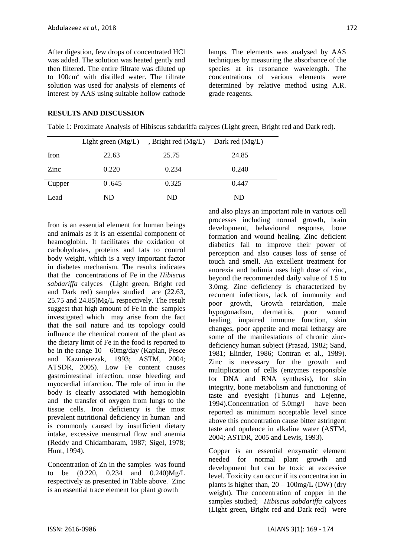After digestion, few drops of concentrated HCl was added. The solution was heated gently and then filtered. The entire filtrate was diluted up to  $100 \text{cm}^3$  with distilled water. The filtrate solution was used for analysis of elements of interest by AAS using suitable hollow cathode lamps. The elements was analysed by AAS techniques by measuring the absorbance of the species at its resonance wavelength. The concentrations of various elements were determined by relative method using A.R. grade reagents.

## **RESULTS AND DISCUSSION**

Table 1: Proximate Analysis of Hibiscus sabdariffa calyces (Light green, Bright red and Dark red).

|        | Light green $(Mg/L)$ | , Bright red $(Mg/L)$ Dark red $(Mg/L)$ |       |
|--------|----------------------|-----------------------------------------|-------|
| Iron   | 22.63                | 25.75                                   | 24.85 |
| Zinc   | 0.220                | 0.234                                   | 0.240 |
| Cupper | 0.645                | 0.325                                   | 0.447 |
| Lead   | ND                   | ND                                      | ND    |

Iron is an essential element for human beings and animals as it is an essential component of heamoglobin. It facilitates the oxidation of carbohydrates, proteins and fats to control body weight, which is a very important factor in diabetes mechanism. The results indicates that the concentrations of Fe in the *Hibiscus sabdariffa* calyces (Light green, Bright red and Dark red) samples studied are (22.63, 25.75 and 24.85)Mg/L respectively. The result suggest that high amount of Fe in the samples investigated which may arise from the fact that the soil nature and its topology could influence the chemical content of the plant as the dietary limit of Fe in the food is reported to be in the range  $10 - 60$ mg/day (Kaplan, Pesce and Kazmierezak, 1993; ASTM, 2004; ATSDR, 2005). Low Fe content causes gastrointestinal infection, nose bleeding and myocardial infarction. The role of iron in the body is clearly associated with hemoglobin and the transfer of oxygen from lungs to the tissue cells. Iron deficiency is the most prevalent nutritional deficiency in human and is commonly caused by insufficient dietary intake, excessive menstrual flow and anemia (Reddy and Chidambaram, 1987; Sigel, 1978; Hunt, 1994).

Concentration of Zn in the samples was found to be (0.220, 0.234 and 0.240)Mg/L respectively as presented in Table above. Zinc is an essential trace element for plant growth

and also plays an important role in various cell processes including normal growth, brain development, behavioural response, bone formation and wound healing. Zinc deficient diabetics fail to improve their power of perception and also causes loss of sense of touch and smell. An excellent treatment for anorexia and bulimia uses high dose of zinc, beyond the recommended daily value of 1.5 to 3.0mg. Zinc deficiency is characterized by recurrent infections, lack of immunity and poor growth, Growth retardation, male hypogonadism, dermatitis, poor wound healing, impaired immune function, skin changes, poor appetite and metal lethargy are some of the manifestations of chronic zincdeficiency human subject (Prasad, 1982; Sand, 1981; Elinder, 1986; Contran et al., 1989). Zinc is necessary for the growth and multiplication of cells (enzymes responsible for DNA and RNA synthesis), for skin integrity, bone metabolism and functioning of taste and eyesight (Thunus and Lejenne, 1994).Concentration of 5.0mg/l have been reported as minimum acceptable level since above this concentration cause bitter astringent taste and opulence in alkaline water (ASTM, 2004; ASTDR, 2005 and Lewis, 1993).

Copper is an essential enzymatic element needed for normal plant growth and development but can be toxic at excessive level. Toxicity can occur if its concentration in plants is higher than,  $20 - 100$  mg/L (DW) (dry weight). The concentration of copper in the samples studied; *Hibiscus sabdariffa* calyces (Light green, Bright red and Dark red) were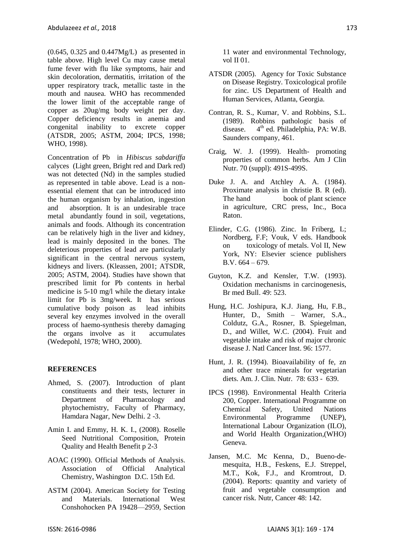$(0.645, 0.325, and 0.447Mg/L)$  as presented in table above. High level Cu may cause metal fume fever with flu like symptoms, hair and skin decoloration, dermatitis, irritation of the upper respiratory track, metallic taste in the mouth and nausea. WHO has recommended the lower limit of the acceptable range of copper as 20ug/mg body weight per day. Copper deficiency results in anemia and congenital inability to excrete copper (ATSDR, 2005; ASTM, 2004; IPCS, 1998; WHO, 1998).

Concentration of Pb in *Hibiscus sabdariffa* calyces (Light green, Bright red and Dark red) was not detected (Nd) in the samples studied as represented in table above. Lead is a nonessential element that can be introduced into the human organism by inhalation, ingestion and absorption. It is an undesirable trace metal abundantly found in soil, vegetations, animals and foods. Although its concentration can be relatively high in the liver and kidney, lead is mainly deposited in the bones. The deleterious properties of lead are particularly significant in the central nervous system, kidneys and livers. (Kleassen, 2001; ATSDR, 2005; ASTM, 2004). Studies have shown that prescribed limit for Pb contents in herbal medicine is 5-10 mg/l while the dietary intake limit for Pb is 3mg/week. It has serious cumulative body poison as lead inhibits several key enzymes involved in the overall process of haemo-synthesis thereby damaging the organs involve as it accumulates (Wedepohl, 1978; WHO, 2000).

# **REFERENCES**

- Ahmed, S. (2007). Introduction of plant constituents and their tests, lecturer in Department of Pharmacology and phytochemistry, Faculty of Pharmacy, Hamdara Nagar, New Delhi. 2 -3.
- Amin I. and Emmy, H. K. I., (2008). Roselle Seed Nutritional Composition, Protein Quality and Health Benefit p 2-3
- AOAC (1990). Official Methods of Analysis. Association of Official Analytical Chemistry, Washington D.C. 15th Ed.
- ASTM (2004). American Society for Testing and Materials. International West Conshohocken PA 19428—2959, Section

11 water and environmental Technology, vol II 01.

- ATSDR (2005). Agency for Toxic Substance on Disease Registry. Toxicological profile for zinc. US Department of Health and Human Services, Atlanta, Georgia.
- Contran, R. S., Kumar, V. and Robbins, S.L. (1989). Robbins pathologic basis of disease.  $4<sup>th</sup>$  ed. Philadelphia, PA: W.B. Saunders company, 461.
- Craig, W. J. (1999). Health- promoting properties of common herbs. Am J Clin Nutr. 70 (suppl): 491S-499S.
- Duke J. A. and Atchley A. A. (1984). Proximate analysis in christie B. R (ed). The hand book of plant science in agriculture, CRC press, Inc., Boca Raton.
- Elinder, C.G. (1986). Zinc. In Friberg, L; Nordberg, F.F; Vouk, V eds. Handbook on toxicology of metals. Vol II, New York, NY: Elsevier science publishers B.V. 664 – 679.
- Guyton, K.Z. and Kensler, T.W. (1993). Oxidation mechanisms in carcinogenesis, Br med Bull. 49: 523.
- Hung, H.C. Joshipura, K.J. Jiang, Hu, F.B., Hunter, D., Smith – Warner, S.A., Coldutz, G.A., Rosner, B. Spiegelman, D., and Willet, W.C. (2004). Fruit and vegetable intake and risk of major chronic disease J. Natl Cancer Inst. 96: 1577.
- Hunt, J. R. (1994). Bioavailability of fe, zn and other trace minerals for vegetarian diets. Am. J. Clin. Nutr. 78: 633 - 639.
- IPCS (1998). Environmental Health Criteria 200, Copper. International Programme on Chemical Safety, United Nations Environmental Programme (UNEP), International Labour Organization (ILO), and World Health Organization,(WHO) Geneva.
- Jansen, M.C. Mc Kenna, D., Bueno-demesquita, H.B., Feskens, E.J. Streppel, M.T., Kok, F.J., and Kromtrout, D. (2004). Reports: quantity and variety of fruit and vegetable consumption and cancer risk. Nutr, Cancer 48: 142.